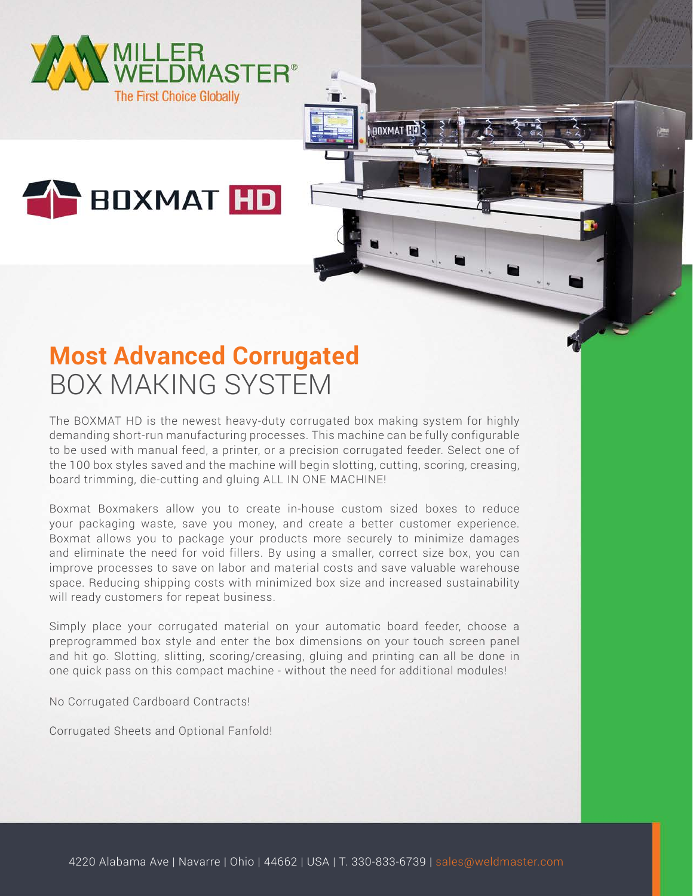

## **THE BOXMAT HD**

## **Most Advanced Corrugated** BOX MAKING SYSTEM

The BOXMAT HD is the newest heavy-duty corrugated box making system for highly demanding short-run manufacturing processes. This machine can be fully configurable to be used with manual feed, a printer, or a precision corrugated feeder. Select one of the 100 box styles saved and the machine will begin slotting, cutting, scoring, creasing, board trimming, die-cutting and gluing ALL IN ONE MACHINE!

**ROXMAT** 

Boxmat Boxmakers allow you to create in-house custom sized boxes to reduce your packaging waste, save you money, and create a better customer experience. Boxmat allows you to package your products more securely to minimize damages and eliminate the need for void fillers. By using a smaller, correct size box, you can improve processes to save on labor and material costs and save valuable warehouse space. Reducing shipping costs with minimized box size and increased sustainability will ready customers for repeat business.

Simply place your corrugated material on your automatic board feeder, choose a preprogrammed box style and enter the box dimensions on your touch screen panel and hit go. Slotting, slitting, scoring/creasing, gluing and printing can all be done in one quick pass on this compact machine - without the need for additional modules!

No Corrugated Cardboard Contracts!

Corrugated Sheets and Optional Fanfold!